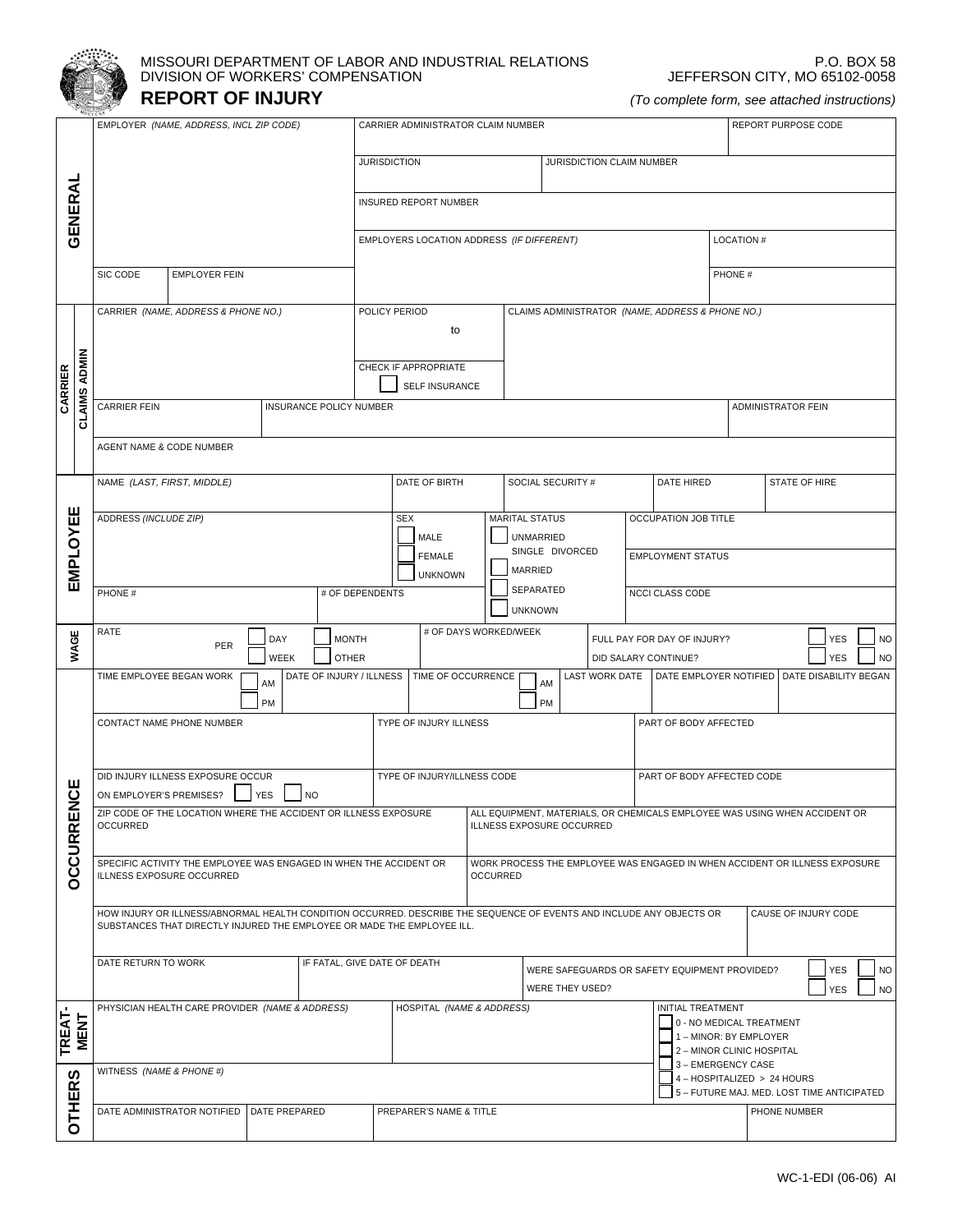

## MISSOURI DEPARTMENT OF LABOR AND INDUSTRIAL RELATIONS DIVISION OF WORKERS' COMPENSATION **REPORT OF INJURY**

P.O. BOX 58 JEFFERSON CITY, MO 65102-0058

*(To complete form, see attached instructions)*

|                     | EMPLOYER (NAME, ADDRESS, INCL ZIP CODE)                                                                                                                                                                 |                                                | CARRIER ADMINISTRATOR CLAIM NUMBER      |                                                                            | REPORT PURPOSE CODE                                                                             |  |
|---------------------|---------------------------------------------------------------------------------------------------------------------------------------------------------------------------------------------------------|------------------------------------------------|-----------------------------------------|----------------------------------------------------------------------------|-------------------------------------------------------------------------------------------------|--|
|                     |                                                                                                                                                                                                         | <b>JURISDICTION</b>                            | JURISDICTION CLAIM NUMBER               |                                                                            |                                                                                                 |  |
|                     |                                                                                                                                                                                                         |                                                |                                         |                                                                            |                                                                                                 |  |
| GENERAL             |                                                                                                                                                                                                         | INSURED REPORT NUMBER                          |                                         |                                                                            |                                                                                                 |  |
|                     |                                                                                                                                                                                                         | EMPLOYERS LOCATION ADDRESS (IF DIFFERENT)      |                                         |                                                                            | <b>LOCATION#</b>                                                                                |  |
|                     | SIC CODE<br><b>EMPLOYER FEIN</b>                                                                                                                                                                        |                                                |                                         |                                                                            | PHONE #                                                                                         |  |
|                     | CARRIER (NAME, ADDRESS & PHONE NO.)                                                                                                                                                                     | POLICY PERIOD                                  |                                         | CLAIMS ADMINISTRATOR (NAME, ADDRESS & PHONE NO.)                           |                                                                                                 |  |
|                     |                                                                                                                                                                                                         | to                                             |                                         |                                                                            |                                                                                                 |  |
|                     |                                                                                                                                                                                                         | CHECK IF APPROPRIATE                           |                                         |                                                                            |                                                                                                 |  |
| CARRIER             |                                                                                                                                                                                                         | SELF INSURANCE                                 |                                         |                                                                            |                                                                                                 |  |
| <b>CLAIMS ADMIN</b> | INSURANCE POLICY NUMBER<br>CARRIER FEIN                                                                                                                                                                 |                                                |                                         |                                                                            | ADMINISTRATOR FEIN                                                                              |  |
|                     | AGENT NAME & CODE NUMBER                                                                                                                                                                                |                                                |                                         |                                                                            |                                                                                                 |  |
|                     | NAME (LAST, FIRST, MIDDLE)                                                                                                                                                                              | DATE OF BIRTH                                  | SOCIAL SECURITY #                       | DATE HIRED                                                                 | STATE OF HIRE                                                                                   |  |
|                     |                                                                                                                                                                                                         |                                                |                                         |                                                                            |                                                                                                 |  |
| <b>EMPLOYEE</b>     | ADDRESS (INCLUDE ZIP)<br><b>MARITAL STATUS</b><br>OCCUPATION JOB TITLE<br><b>SEX</b><br>MALE<br>UNMARRIED                                                                                               |                                                |                                         |                                                                            |                                                                                                 |  |
|                     | SINGLE DIVORCED<br><b>EMPLOYMENT STATUS</b><br><b>FEMALE</b><br>MARRIED<br><b>UNKNOWN</b>                                                                                                               |                                                |                                         |                                                                            |                                                                                                 |  |
|                     | PHONE #                                                                                                                                                                                                 | # OF DEPENDENTS                                | SEPARATED                               | NCCI CLASS CODE                                                            |                                                                                                 |  |
|                     | RATE<br>DAY                                                                                                                                                                                             | <b>MONTH</b>                                   | <b>UNKNOWN</b><br># OF DAYS WORKED/WEEK | FULL PAY FOR DAY OF INJURY?                                                | <b>YES</b><br><b>NO</b>                                                                         |  |
| WAGE                | PER<br><b>WEEK</b>                                                                                                                                                                                      | <b>OTHER</b>                                   |                                         | DID SALARY CONTINUE?                                                       | <b>YES</b><br><b>NO</b>                                                                         |  |
|                     | TIME EMPLOYEE BEGAN WORK<br>ΑM                                                                                                                                                                          | DATE OF INJURY / ILLNESS<br>TIME OF OCCURRENCE | AM                                      |                                                                            | LAST WORK DATE   DATE EMPLOYER NOTIFIED   DATE DISABILITY BEGAN                                 |  |
|                     | <b>PM</b><br>CONTACT NAME PHONE NUMBER                                                                                                                                                                  | TYPE OF INJURY ILLNESS                         | PM                                      | PART OF BODY AFFECTED                                                      |                                                                                                 |  |
|                     |                                                                                                                                                                                                         |                                                |                                         |                                                                            |                                                                                                 |  |
|                     | DID INJURY ILLNESS EXPOSURE OCCUR                                                                                                                                                                       | TYPE OF INJURY/ILLNESS CODE                    |                                         | PART OF BODY AFFECTED CODE                                                 |                                                                                                 |  |
| <b>NCE</b><br>ш     | ON EMPLOYER'S PREMISES?<br>YES<br><b>NO</b><br>ZIP CODE OF THE LOCATION WHERE THE ACCIDENT OR ILLNESS EXPOSURE                                                                                          |                                                |                                         | ALL EQUIPMENT, MATERIALS, OR CHEMICALS EMPLOYEE WAS USING WHEN ACCIDENT OR |                                                                                                 |  |
|                     | <b>OCCURRED</b><br><b>ILLNESS EXPOSURE OCCURRED</b>                                                                                                                                                     |                                                |                                         |                                                                            |                                                                                                 |  |
| <b>OCCURR</b>       | SPECIFIC ACTIVITY THE EMPLOYEE WAS ENGAGED IN WHEN THE ACCIDENT OR<br>WORK PROCESS THE EMPLOYEE WAS ENGAGED IN WHEN ACCIDENT OR ILLNESS EXPOSURE<br><b>ILLNESS EXPOSURE OCCURRED</b><br><b>OCCURRED</b> |                                                |                                         |                                                                            |                                                                                                 |  |
|                     |                                                                                                                                                                                                         |                                                |                                         |                                                                            |                                                                                                 |  |
|                     | HOW INJURY OR ILLNESS/ABNORMAL HEALTH CONDITION OCCURRED. DESCRIBE THE SEQUENCE OF EVENTS AND INCLUDE ANY OBJECTS OR<br>SUBSTANCES THAT DIRECTLY INJURED THE EMPLOYEE OR MADE THE EMPLOYEE ILL.         |                                                |                                         |                                                                            | CAUSE OF INJURY CODE                                                                            |  |
|                     | DATE RETURN TO WORK                                                                                                                                                                                     | IF FATAL, GIVE DATE OF DEATH                   |                                         | WERE SAFEGUARDS OR SAFETY EQUIPMENT PROVIDED?                              | <b>YES</b><br><b>NO</b>                                                                         |  |
|                     |                                                                                                                                                                                                         |                                                |                                         | WERE THEY USED?                                                            | <b>YES</b><br><b>NO</b>                                                                         |  |
| TREAT-<br>MENT      | PHYSICIAN HEALTH CARE PROVIDER (NAME & ADDRESS)                                                                                                                                                         | HOSPITAL (NAME & ADDRESS)                      |                                         | <b>INITIAL TREATMENT</b>                                                   | 0 - NO MEDICAL TREATMENT                                                                        |  |
|                     |                                                                                                                                                                                                         |                                                |                                         |                                                                            | 1 - MINOR: BY EMPLOYER<br>2 - MINOR CLINIC HOSPITAL                                             |  |
| S                   | WITNESS (NAME & PHONE #)                                                                                                                                                                                |                                                |                                         |                                                                            | 3 - EMERGENCY CASE<br>4 - HOSPITALIZED > 24 HOURS<br>5 - FUTURE MAJ. MED. LOST TIME ANTICIPATED |  |
| <b>OTHER</b>        | DATE ADMINISTRATOR NOTIFIED<br>DATE PREPARED                                                                                                                                                            | PREPARER'S NAME & TITLE                        |                                         |                                                                            | PHONE NUMBER                                                                                    |  |
|                     |                                                                                                                                                                                                         |                                                |                                         |                                                                            |                                                                                                 |  |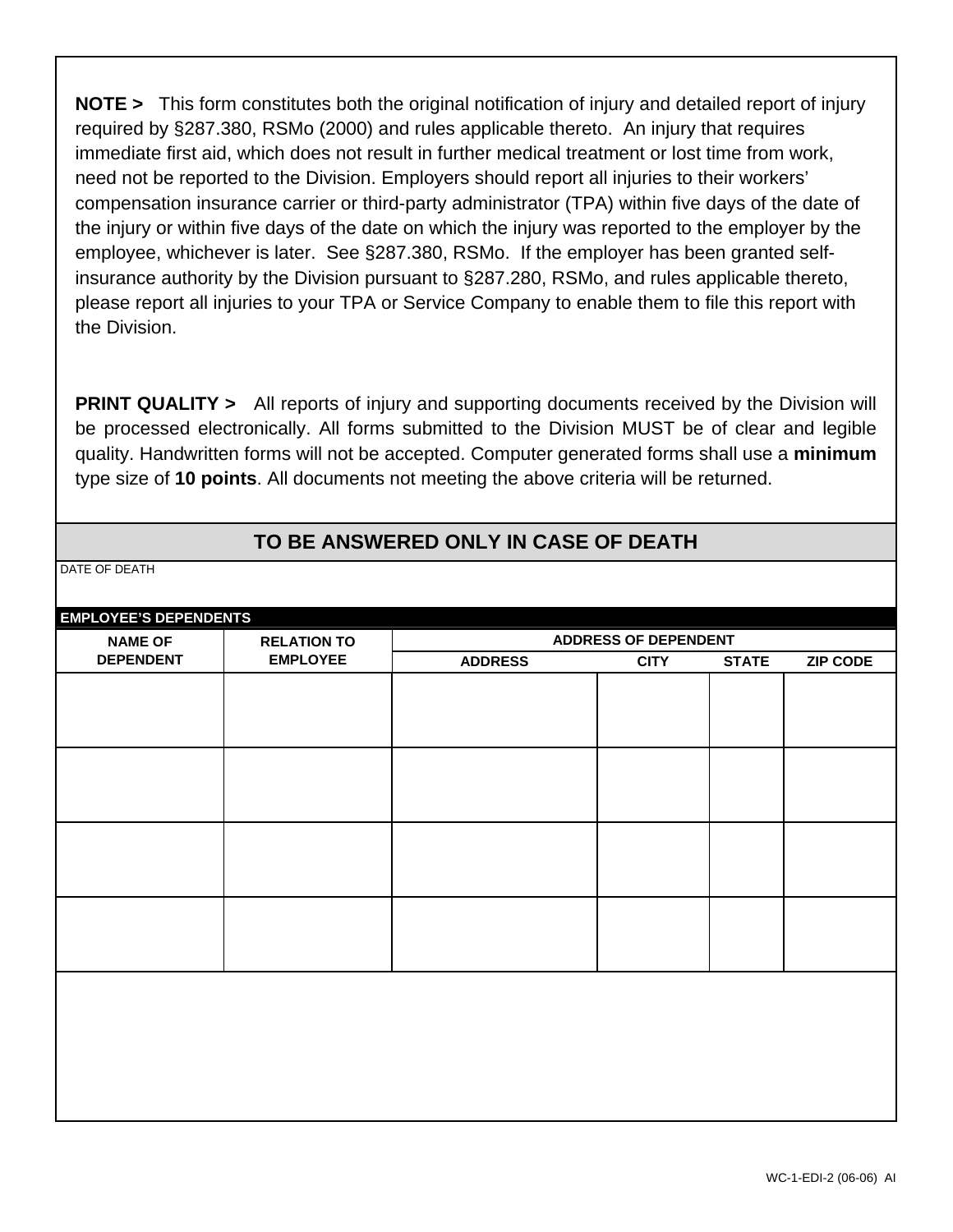**NOTE >** This form constitutes both the original notification of injury and detailed report of injury required by §287.380, RSMo (2000) and rules applicable thereto. An injury that requires immediate first aid, which does not result in further medical treatment or lost time from work, need not be reported to the Division. Employers should report all injuries to their workers' compensation insurance carrier or third-party administrator (TPA) within five days of the date of the injury or within five days of the date on which the injury was reported to the employer by the employee, whichever is later. See §287.380, RSMo. If the employer has been granted selfinsurance authority by the Division pursuant to §287.280, RSMo, and rules applicable thereto, please report all injuries to your TPA or Service Company to enable them to file this report with the Division.

**PRINT QUALITY** > All reports of injury and supporting documents received by the Division will be processed electronically. All forms submitted to the Division MUST be of clear and legible quality. Handwritten forms will not be accepted. Computer generated forms shall use a **minimum** type size of **10 points**. All documents not meeting the above criteria will be returned.

## **TO BE ANSWERED ONLY IN CASE OF DEATH**

DATE OF DEATH

| <b>EMPLOYEE'S DEPENDENTS</b><br><b>NAME OF</b><br><b>RELATION TO</b> |                 | <b>ADDRESS OF DEPENDENT</b> |             |              |                 |
|----------------------------------------------------------------------|-----------------|-----------------------------|-------------|--------------|-----------------|
| <b>DEPENDENT</b>                                                     | <b>EMPLOYEE</b> | <b>ADDRESS</b>              | <b>CITY</b> | <b>STATE</b> | <b>ZIP CODE</b> |
|                                                                      |                 |                             |             |              |                 |
|                                                                      |                 |                             |             |              |                 |
|                                                                      |                 |                             |             |              |                 |
|                                                                      |                 |                             |             |              |                 |
|                                                                      |                 |                             |             |              |                 |
|                                                                      |                 |                             |             |              |                 |
|                                                                      |                 |                             |             |              |                 |
|                                                                      |                 |                             |             |              |                 |
|                                                                      |                 |                             |             |              |                 |
|                                                                      |                 |                             |             |              |                 |
|                                                                      |                 |                             |             |              |                 |
|                                                                      |                 |                             |             |              |                 |
|                                                                      |                 |                             |             |              |                 |
|                                                                      |                 |                             |             |              |                 |
|                                                                      |                 |                             |             |              |                 |
|                                                                      |                 |                             |             |              |                 |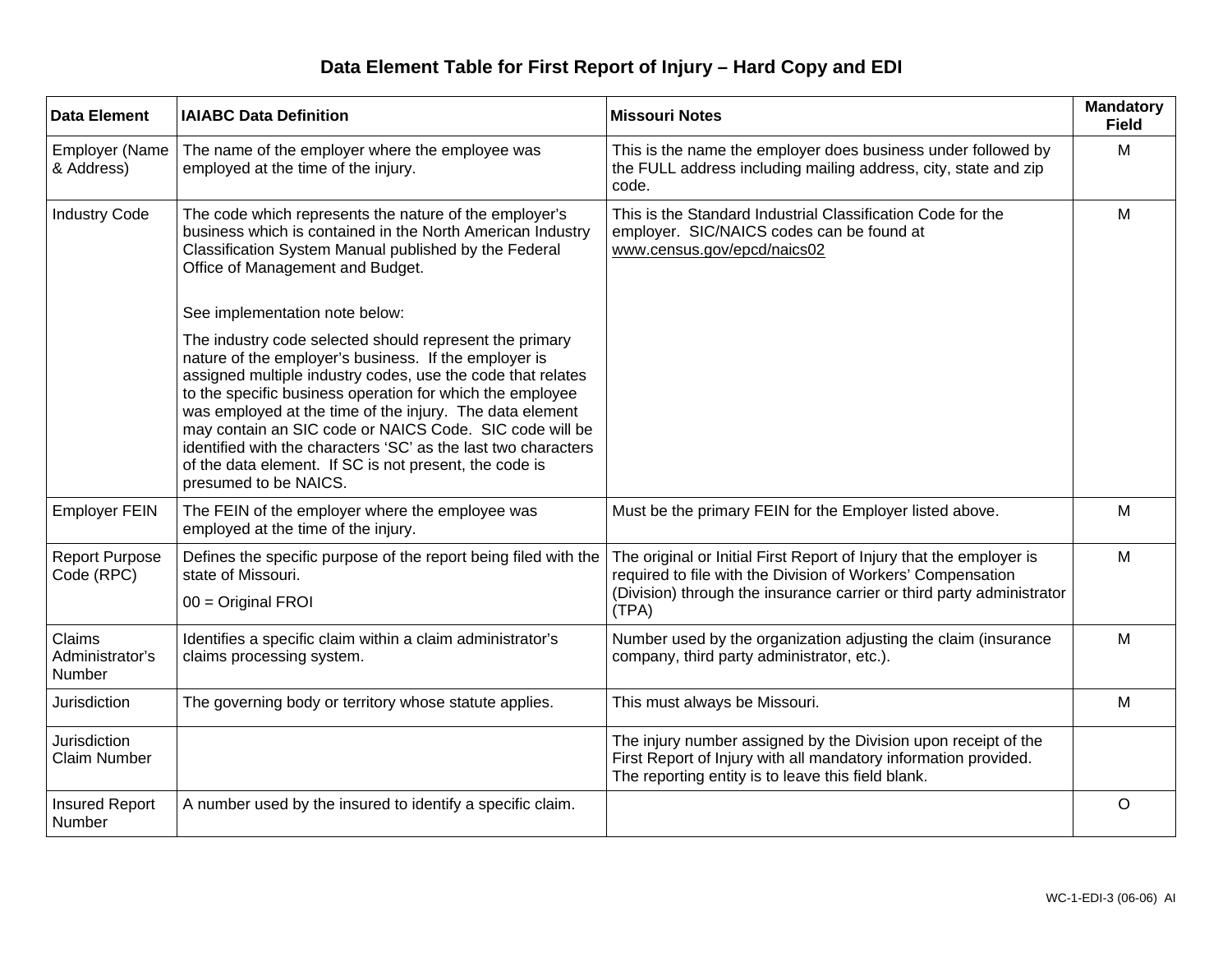## **Data Element Table for First Report of Injury – Hard Copy and EDI**

| <b>Data Element</b>                        | <b>IAIABC Data Definition</b>                                                                                                                                                                                                                                                                                                                                                                                                                                                                                            | <b>Missouri Notes</b>                                                                                                                                                                                                | <b>Mandatory</b><br><b>Field</b> |
|--------------------------------------------|--------------------------------------------------------------------------------------------------------------------------------------------------------------------------------------------------------------------------------------------------------------------------------------------------------------------------------------------------------------------------------------------------------------------------------------------------------------------------------------------------------------------------|----------------------------------------------------------------------------------------------------------------------------------------------------------------------------------------------------------------------|----------------------------------|
| <b>Employer (Name</b><br>& Address)        | The name of the employer where the employee was<br>employed at the time of the injury.                                                                                                                                                                                                                                                                                                                                                                                                                                   | This is the name the employer does business under followed by<br>the FULL address including mailing address, city, state and zip<br>code.                                                                            | M                                |
| <b>Industry Code</b>                       | The code which represents the nature of the employer's<br>business which is contained in the North American Industry<br>Classification System Manual published by the Federal<br>Office of Management and Budget.                                                                                                                                                                                                                                                                                                        | This is the Standard Industrial Classification Code for the<br>employer. SIC/NAICS codes can be found at<br>www.census.gov/epcd/naics02                                                                              | M                                |
|                                            | See implementation note below:                                                                                                                                                                                                                                                                                                                                                                                                                                                                                           |                                                                                                                                                                                                                      |                                  |
|                                            | The industry code selected should represent the primary<br>nature of the employer's business. If the employer is<br>assigned multiple industry codes, use the code that relates<br>to the specific business operation for which the employee<br>was employed at the time of the injury. The data element<br>may contain an SIC code or NAICS Code. SIC code will be<br>identified with the characters 'SC' as the last two characters<br>of the data element. If SC is not present, the code is<br>presumed to be NAICS. |                                                                                                                                                                                                                      |                                  |
| <b>Employer FEIN</b>                       | The FEIN of the employer where the employee was<br>employed at the time of the injury.                                                                                                                                                                                                                                                                                                                                                                                                                                   | Must be the primary FEIN for the Employer listed above.                                                                                                                                                              | M                                |
| <b>Report Purpose</b><br>Code (RPC)        | Defines the specific purpose of the report being filed with the<br>state of Missouri.<br>$00 = Original FROI$                                                                                                                                                                                                                                                                                                                                                                                                            | The original or Initial First Report of Injury that the employer is<br>required to file with the Division of Workers' Compensation<br>(Division) through the insurance carrier or third party administrator<br>(TPA) | M                                |
| Claims<br>Administrator's<br>Number        | Identifies a specific claim within a claim administrator's<br>claims processing system.                                                                                                                                                                                                                                                                                                                                                                                                                                  | Number used by the organization adjusting the claim (insurance<br>company, third party administrator, etc.).                                                                                                         | M                                |
| <b>Jurisdiction</b>                        | The governing body or territory whose statute applies.                                                                                                                                                                                                                                                                                                                                                                                                                                                                   | This must always be Missouri.                                                                                                                                                                                        | M                                |
| <b>Jurisdiction</b><br><b>Claim Number</b> |                                                                                                                                                                                                                                                                                                                                                                                                                                                                                                                          | The injury number assigned by the Division upon receipt of the<br>First Report of Injury with all mandatory information provided.<br>The reporting entity is to leave this field blank.                              |                                  |
| <b>Insured Report</b><br>Number            | A number used by the insured to identify a specific claim.                                                                                                                                                                                                                                                                                                                                                                                                                                                               |                                                                                                                                                                                                                      | $\circ$                          |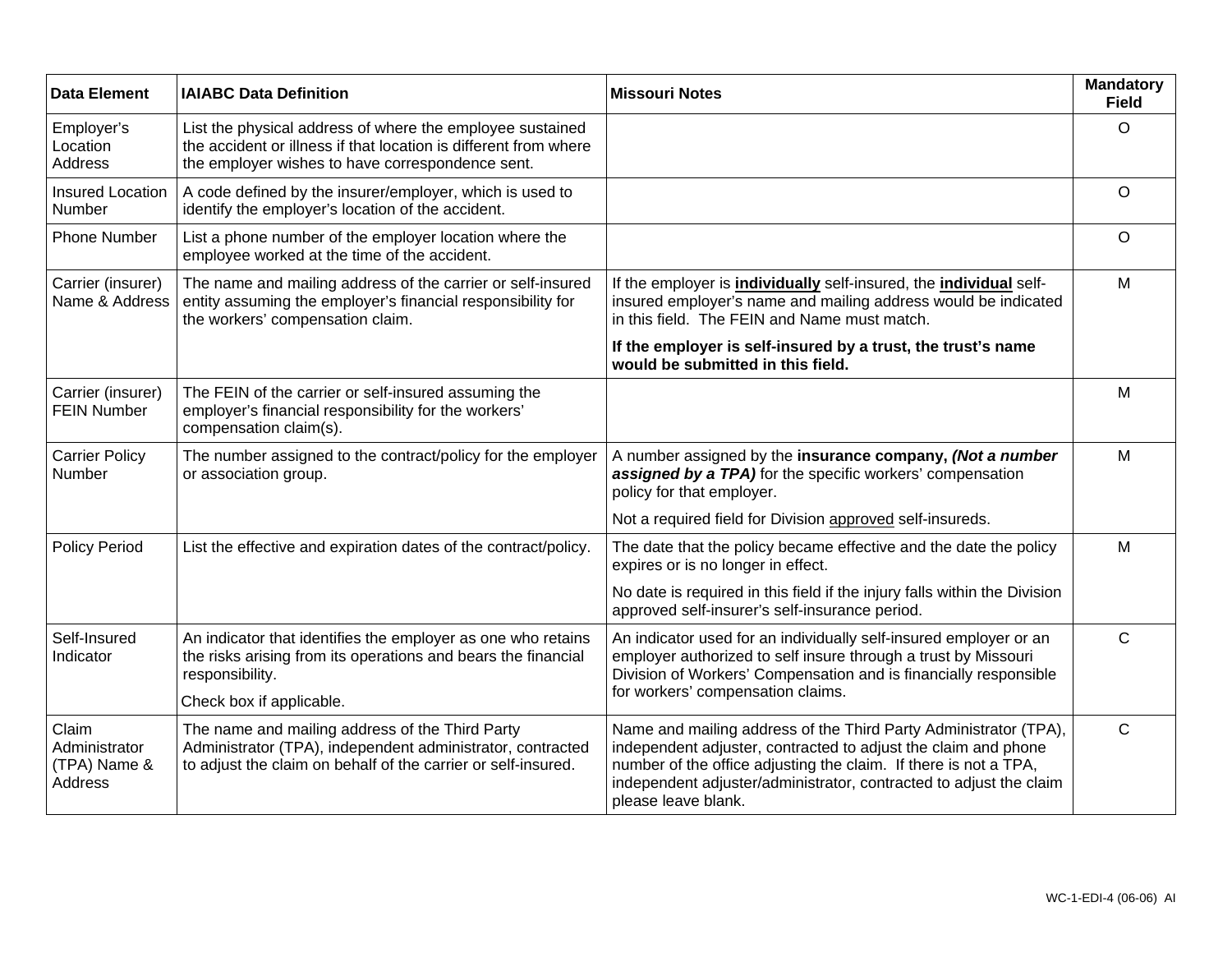| <b>Data Element</b>                               | <b>IAIABC Data Definition</b>                                                                                                                                                     | <b>Missouri Notes</b>                                                                                                                                                                                                                                                                               | <b>Mandatory</b><br><b>Field</b> |
|---------------------------------------------------|-----------------------------------------------------------------------------------------------------------------------------------------------------------------------------------|-----------------------------------------------------------------------------------------------------------------------------------------------------------------------------------------------------------------------------------------------------------------------------------------------------|----------------------------------|
| Employer's<br>Location<br><b>Address</b>          | List the physical address of where the employee sustained<br>the accident or illness if that location is different from where<br>the employer wishes to have correspondence sent. |                                                                                                                                                                                                                                                                                                     | O                                |
| <b>Insured Location</b><br>Number                 | A code defined by the insurer/employer, which is used to<br>identify the employer's location of the accident.                                                                     |                                                                                                                                                                                                                                                                                                     | O                                |
| <b>Phone Number</b>                               | List a phone number of the employer location where the<br>employee worked at the time of the accident.                                                                            |                                                                                                                                                                                                                                                                                                     | O                                |
| Carrier (insurer)<br>Name & Address               | The name and mailing address of the carrier or self-insured<br>entity assuming the employer's financial responsibility for<br>the workers' compensation claim.                    | If the employer is <i>individually</i> self-insured, the <i>individual</i> self-<br>insured employer's name and mailing address would be indicated<br>in this field. The FEIN and Name must match.                                                                                                  | M                                |
|                                                   |                                                                                                                                                                                   | If the employer is self-insured by a trust, the trust's name<br>would be submitted in this field.                                                                                                                                                                                                   |                                  |
| Carrier (insurer)<br><b>FEIN Number</b>           | The FEIN of the carrier or self-insured assuming the<br>employer's financial responsibility for the workers'<br>compensation claim(s).                                            |                                                                                                                                                                                                                                                                                                     | M                                |
| <b>Carrier Policy</b><br>Number                   | The number assigned to the contract/policy for the employer<br>or association group.                                                                                              | A number assigned by the insurance company, (Not a number<br>assigned by a TPA) for the specific workers' compensation<br>policy for that employer.                                                                                                                                                 | M                                |
|                                                   |                                                                                                                                                                                   | Not a required field for Division approved self-insureds.                                                                                                                                                                                                                                           |                                  |
| <b>Policy Period</b>                              | List the effective and expiration dates of the contract/policy.                                                                                                                   | The date that the policy became effective and the date the policy<br>expires or is no longer in effect.                                                                                                                                                                                             | M                                |
|                                                   |                                                                                                                                                                                   | No date is required in this field if the injury falls within the Division<br>approved self-insurer's self-insurance period.                                                                                                                                                                         |                                  |
| Self-Insured<br>Indicator                         | An indicator that identifies the employer as one who retains<br>the risks arising from its operations and bears the financial<br>responsibility.                                  | An indicator used for an individually self-insured employer or an<br>employer authorized to self insure through a trust by Missouri<br>Division of Workers' Compensation and is financially responsible                                                                                             | $\mathsf{C}$                     |
|                                                   | Check box if applicable.                                                                                                                                                          | for workers' compensation claims.                                                                                                                                                                                                                                                                   |                                  |
| Claim<br>Administrator<br>(TPA) Name &<br>Address | The name and mailing address of the Third Party<br>Administrator (TPA), independent administrator, contracted<br>to adjust the claim on behalf of the carrier or self-insured.    | Name and mailing address of the Third Party Administrator (TPA),<br>independent adjuster, contracted to adjust the claim and phone<br>number of the office adjusting the claim. If there is not a TPA,<br>independent adjuster/administrator, contracted to adjust the claim<br>please leave blank. | C                                |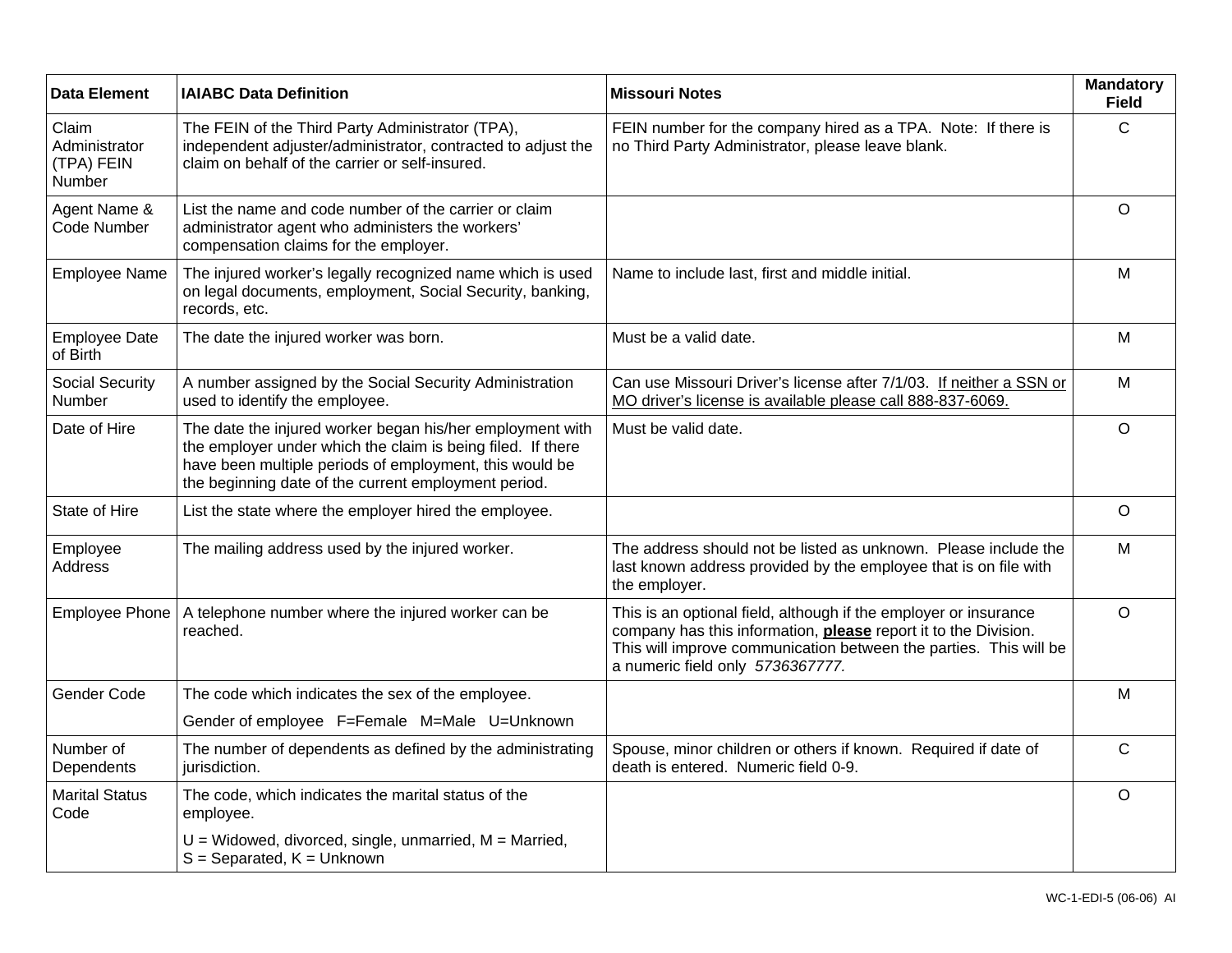| <b>Data Element</b>                            | <b>IAIABC Data Definition</b>                                                                                                                                                                                                               | <b>Missouri Notes</b>                                                                                                                                                                                                                        | <b>Mandatory</b><br><b>Field</b> |
|------------------------------------------------|---------------------------------------------------------------------------------------------------------------------------------------------------------------------------------------------------------------------------------------------|----------------------------------------------------------------------------------------------------------------------------------------------------------------------------------------------------------------------------------------------|----------------------------------|
| Claim<br>Administrator<br>(TPA) FEIN<br>Number | The FEIN of the Third Party Administrator (TPA),<br>independent adjuster/administrator, contracted to adjust the<br>claim on behalf of the carrier or self-insured.                                                                         | FEIN number for the company hired as a TPA. Note: If there is<br>no Third Party Administrator, please leave blank.                                                                                                                           | C                                |
| Agent Name &<br>Code Number                    | List the name and code number of the carrier or claim<br>administrator agent who administers the workers'<br>compensation claims for the employer.                                                                                          |                                                                                                                                                                                                                                              | $\circ$                          |
| <b>Employee Name</b>                           | The injured worker's legally recognized name which is used<br>on legal documents, employment, Social Security, banking,<br>records, etc.                                                                                                    | Name to include last, first and middle initial.                                                                                                                                                                                              | M                                |
| <b>Employee Date</b><br>of Birth               | The date the injured worker was born.                                                                                                                                                                                                       | Must be a valid date.                                                                                                                                                                                                                        | M                                |
| <b>Social Security</b><br>Number               | A number assigned by the Social Security Administration<br>used to identify the employee.                                                                                                                                                   | Can use Missouri Driver's license after 7/1/03. If neither a SSN or<br>MO driver's license is available please call 888-837-6069.                                                                                                            | M                                |
| Date of Hire                                   | The date the injured worker began his/her employment with<br>the employer under which the claim is being filed. If there<br>have been multiple periods of employment, this would be<br>the beginning date of the current employment period. | Must be valid date.                                                                                                                                                                                                                          | $\circ$                          |
| State of Hire                                  | List the state where the employer hired the employee.                                                                                                                                                                                       |                                                                                                                                                                                                                                              | $\circ$                          |
| Employee<br><b>Address</b>                     | The mailing address used by the injured worker.                                                                                                                                                                                             | The address should not be listed as unknown. Please include the<br>last known address provided by the employee that is on file with<br>the employer.                                                                                         | M                                |
| <b>Employee Phone</b>                          | A telephone number where the injured worker can be<br>reached.                                                                                                                                                                              | This is an optional field, although if the employer or insurance<br>company has this information, please report it to the Division.<br>This will improve communication between the parties. This will be<br>a numeric field only 5736367777. | $\circ$                          |
| Gender Code                                    | The code which indicates the sex of the employee.                                                                                                                                                                                           |                                                                                                                                                                                                                                              | M                                |
|                                                | Gender of employee F=Female M=Male U=Unknown                                                                                                                                                                                                |                                                                                                                                                                                                                                              |                                  |
| Number of<br>Dependents                        | The number of dependents as defined by the administrating<br>jurisdiction.                                                                                                                                                                  | Spouse, minor children or others if known. Required if date of<br>death is entered. Numeric field 0-9.                                                                                                                                       | $\mathsf{C}$                     |
| <b>Marital Status</b><br>Code                  | The code, which indicates the marital status of the<br>employee.                                                                                                                                                                            |                                                                                                                                                                                                                                              | $\circ$                          |
|                                                | $U =$ Widowed, divorced, single, unmarried, $M =$ Married,<br>$S =$ Separated, $K =$ Unknown                                                                                                                                                |                                                                                                                                                                                                                                              |                                  |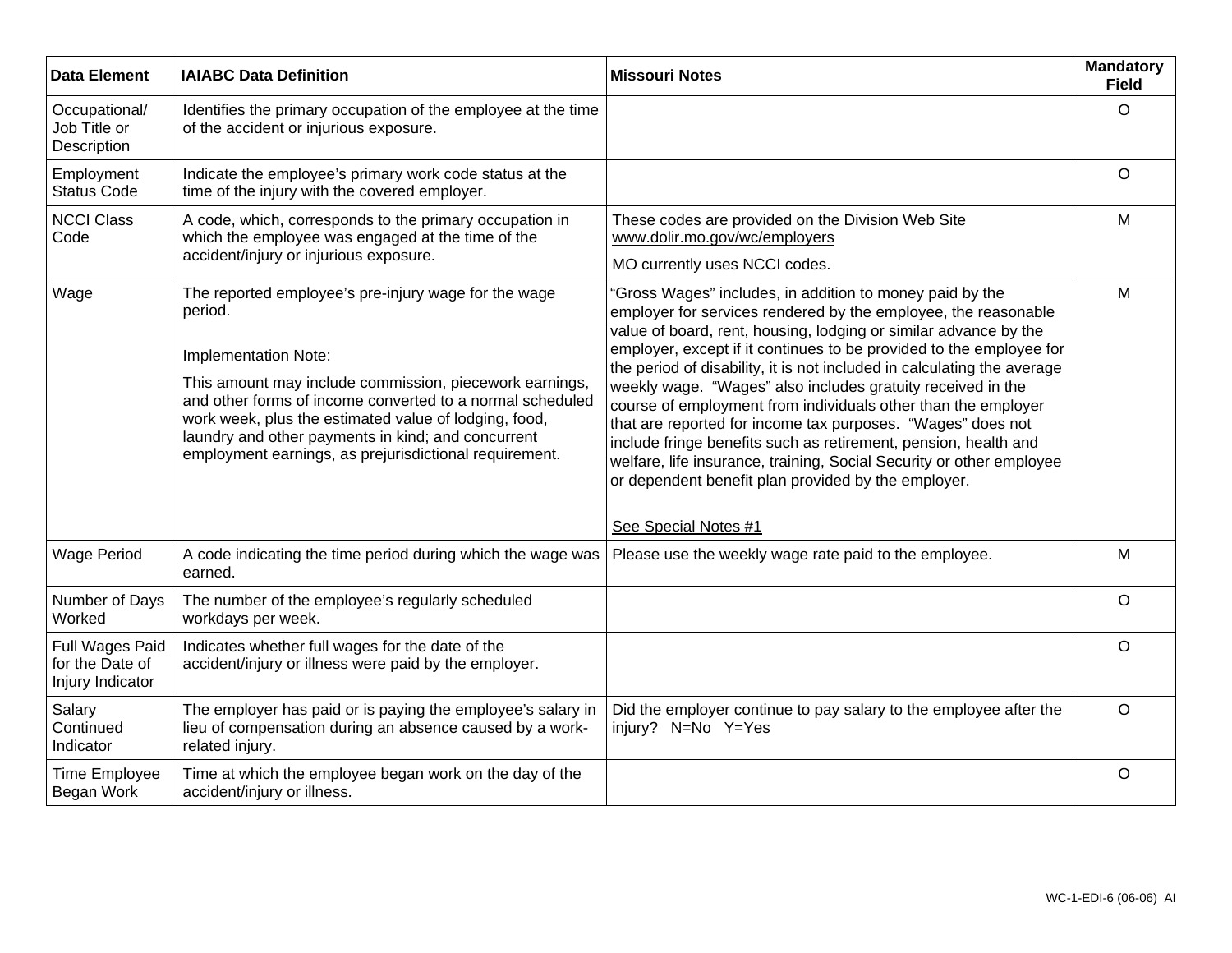| <b>Data Element</b>                                    | <b>IAIABC Data Definition</b>                                                                                                                                                                                                                                                                                                                                                            | <b>Missouri Notes</b>                                                                                                                                                                                                                                                                                                                                                                                                                                                                                                                                                                                                                               | <b>Mandatory</b><br><b>Field</b> |
|--------------------------------------------------------|------------------------------------------------------------------------------------------------------------------------------------------------------------------------------------------------------------------------------------------------------------------------------------------------------------------------------------------------------------------------------------------|-----------------------------------------------------------------------------------------------------------------------------------------------------------------------------------------------------------------------------------------------------------------------------------------------------------------------------------------------------------------------------------------------------------------------------------------------------------------------------------------------------------------------------------------------------------------------------------------------------------------------------------------------------|----------------------------------|
| Occupational/<br>Job Title or<br>Description           | Identifies the primary occupation of the employee at the time<br>of the accident or injurious exposure.                                                                                                                                                                                                                                                                                  |                                                                                                                                                                                                                                                                                                                                                                                                                                                                                                                                                                                                                                                     | $\circ$                          |
| Employment<br><b>Status Code</b>                       | Indicate the employee's primary work code status at the<br>time of the injury with the covered employer.                                                                                                                                                                                                                                                                                 |                                                                                                                                                                                                                                                                                                                                                                                                                                                                                                                                                                                                                                                     | $\circ$                          |
| <b>NCCI Class</b><br>Code                              | A code, which, corresponds to the primary occupation in<br>which the employee was engaged at the time of the                                                                                                                                                                                                                                                                             | These codes are provided on the Division Web Site<br>www.dolir.mo.gov/wc/employers                                                                                                                                                                                                                                                                                                                                                                                                                                                                                                                                                                  | M                                |
|                                                        | accident/injury or injurious exposure.                                                                                                                                                                                                                                                                                                                                                   | MO currently uses NCCI codes.<br>"Gross Wages" includes, in addition to money paid by the<br>employer for services rendered by the employee, the reasonable<br>value of board, rent, housing, lodging or similar advance by the<br>employer, except if it continues to be provided to the employee for<br>the period of disability, it is not included in calculating the average<br>weekly wage. "Wages" also includes gratuity received in the<br>course of employment from individuals other than the employer<br>that are reported for income tax purposes. "Wages" does not<br>include fringe benefits such as retirement, pension, health and |                                  |
| Wage                                                   | The reported employee's pre-injury wage for the wage<br>period.<br>Implementation Note:<br>This amount may include commission, piecework earnings,<br>and other forms of income converted to a normal scheduled<br>work week, plus the estimated value of lodging, food,<br>laundry and other payments in kind; and concurrent<br>employment earnings, as prejurisdictional requirement. | welfare, life insurance, training, Social Security or other employee<br>or dependent benefit plan provided by the employer.<br>See Special Notes #1                                                                                                                                                                                                                                                                                                                                                                                                                                                                                                 | M                                |
| <b>Wage Period</b>                                     | A code indicating the time period during which the wage was<br>earned.                                                                                                                                                                                                                                                                                                                   | Please use the weekly wage rate paid to the employee.                                                                                                                                                                                                                                                                                                                                                                                                                                                                                                                                                                                               | M                                |
| Number of Days<br>Worked                               | The number of the employee's regularly scheduled<br>workdays per week.                                                                                                                                                                                                                                                                                                                   |                                                                                                                                                                                                                                                                                                                                                                                                                                                                                                                                                                                                                                                     | $\circ$                          |
| Full Wages Paid<br>for the Date of<br>Injury Indicator | Indicates whether full wages for the date of the<br>accident/injury or illness were paid by the employer.                                                                                                                                                                                                                                                                                |                                                                                                                                                                                                                                                                                                                                                                                                                                                                                                                                                                                                                                                     | $\circ$                          |
| Salary<br>Continued<br>Indicator                       | The employer has paid or is paying the employee's salary in<br>lieu of compensation during an absence caused by a work-<br>related injury.                                                                                                                                                                                                                                               | Did the employer continue to pay salary to the employee after the<br>injury? N=No Y=Yes                                                                                                                                                                                                                                                                                                                                                                                                                                                                                                                                                             | $\circ$                          |
| Time Employee<br>Began Work                            | Time at which the employee began work on the day of the<br>accident/injury or illness.                                                                                                                                                                                                                                                                                                   |                                                                                                                                                                                                                                                                                                                                                                                                                                                                                                                                                                                                                                                     | $\circ$                          |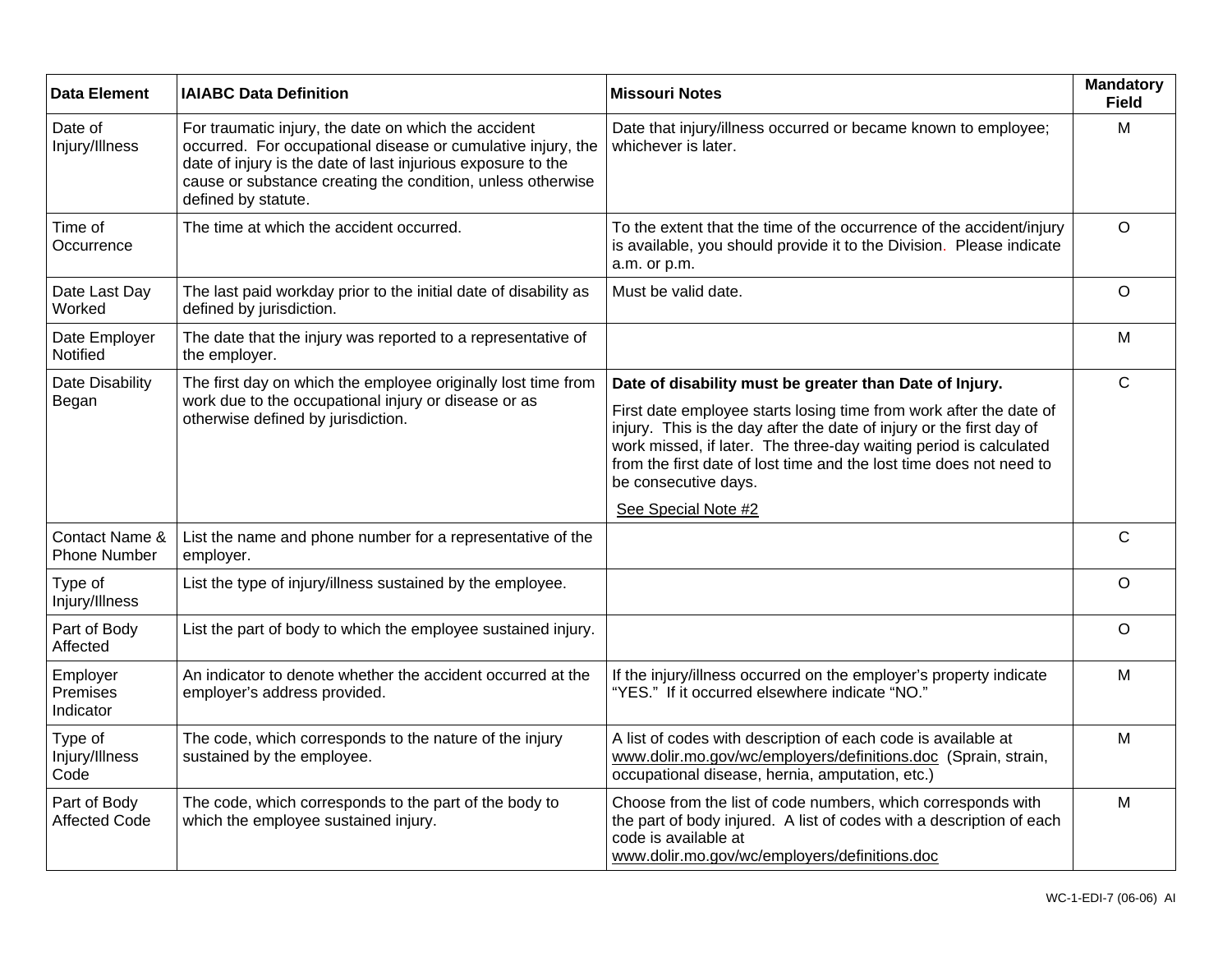| <b>Data Element</b>                   | <b>IAIABC Data Definition</b>                                                                                                                                                                                                                                              | <b>Missouri Notes</b>                                                                                                                                                                                                                                                                                                                                                     | <b>Mandatory</b><br><b>Field</b> |
|---------------------------------------|----------------------------------------------------------------------------------------------------------------------------------------------------------------------------------------------------------------------------------------------------------------------------|---------------------------------------------------------------------------------------------------------------------------------------------------------------------------------------------------------------------------------------------------------------------------------------------------------------------------------------------------------------------------|----------------------------------|
| Date of<br>Injury/Illness             | For traumatic injury, the date on which the accident<br>occurred. For occupational disease or cumulative injury, the<br>date of injury is the date of last injurious exposure to the<br>cause or substance creating the condition, unless otherwise<br>defined by statute. | Date that injury/illness occurred or became known to employee;<br>whichever is later.                                                                                                                                                                                                                                                                                     | м                                |
| Time of<br>Occurrence                 | The time at which the accident occurred.                                                                                                                                                                                                                                   | To the extent that the time of the occurrence of the accident/injury<br>is available, you should provide it to the Division. Please indicate<br>a.m. or p.m.                                                                                                                                                                                                              | $\circ$                          |
| Date Last Day<br>Worked               | The last paid workday prior to the initial date of disability as<br>defined by jurisdiction.                                                                                                                                                                               | Must be valid date.                                                                                                                                                                                                                                                                                                                                                       | $\circ$                          |
| Date Employer<br>Notified             | The date that the injury was reported to a representative of<br>the employer.                                                                                                                                                                                              |                                                                                                                                                                                                                                                                                                                                                                           | M                                |
| Date Disability<br>Began              | The first day on which the employee originally lost time from<br>work due to the occupational injury or disease or as<br>otherwise defined by jurisdiction.                                                                                                                | Date of disability must be greater than Date of Injury.<br>First date employee starts losing time from work after the date of<br>injury. This is the day after the date of injury or the first day of<br>work missed, if later. The three-day waiting period is calculated<br>from the first date of lost time and the lost time does not need to<br>be consecutive days. | $\mathsf{C}$                     |
| Contact Name &<br><b>Phone Number</b> | List the name and phone number for a representative of the<br>employer.                                                                                                                                                                                                    | See Special Note #2                                                                                                                                                                                                                                                                                                                                                       | $\mathsf C$                      |
| Type of<br>Injury/Illness             | List the type of injury/illness sustained by the employee.                                                                                                                                                                                                                 |                                                                                                                                                                                                                                                                                                                                                                           | $\circ$                          |
| Part of Body<br>Affected              | List the part of body to which the employee sustained injury.                                                                                                                                                                                                              |                                                                                                                                                                                                                                                                                                                                                                           | $\mathsf O$                      |
| Employer<br>Premises<br>Indicator     | An indicator to denote whether the accident occurred at the<br>employer's address provided.                                                                                                                                                                                | If the injury/illness occurred on the employer's property indicate<br>"YES." If it occurred elsewhere indicate "NO."                                                                                                                                                                                                                                                      | M                                |
| Type of<br>Injury/Illness<br>Code     | The code, which corresponds to the nature of the injury<br>sustained by the employee.                                                                                                                                                                                      | A list of codes with description of each code is available at<br>www.dolir.mo.gov/wc/employers/definitions.doc (Sprain, strain,<br>occupational disease, hernia, amputation, etc.)                                                                                                                                                                                        | M                                |
| Part of Body<br><b>Affected Code</b>  | The code, which corresponds to the part of the body to<br>which the employee sustained injury.                                                                                                                                                                             | Choose from the list of code numbers, which corresponds with<br>the part of body injured. A list of codes with a description of each<br>code is available at<br>www.dolir.mo.gov/wc/employers/definitions.doc                                                                                                                                                             | M                                |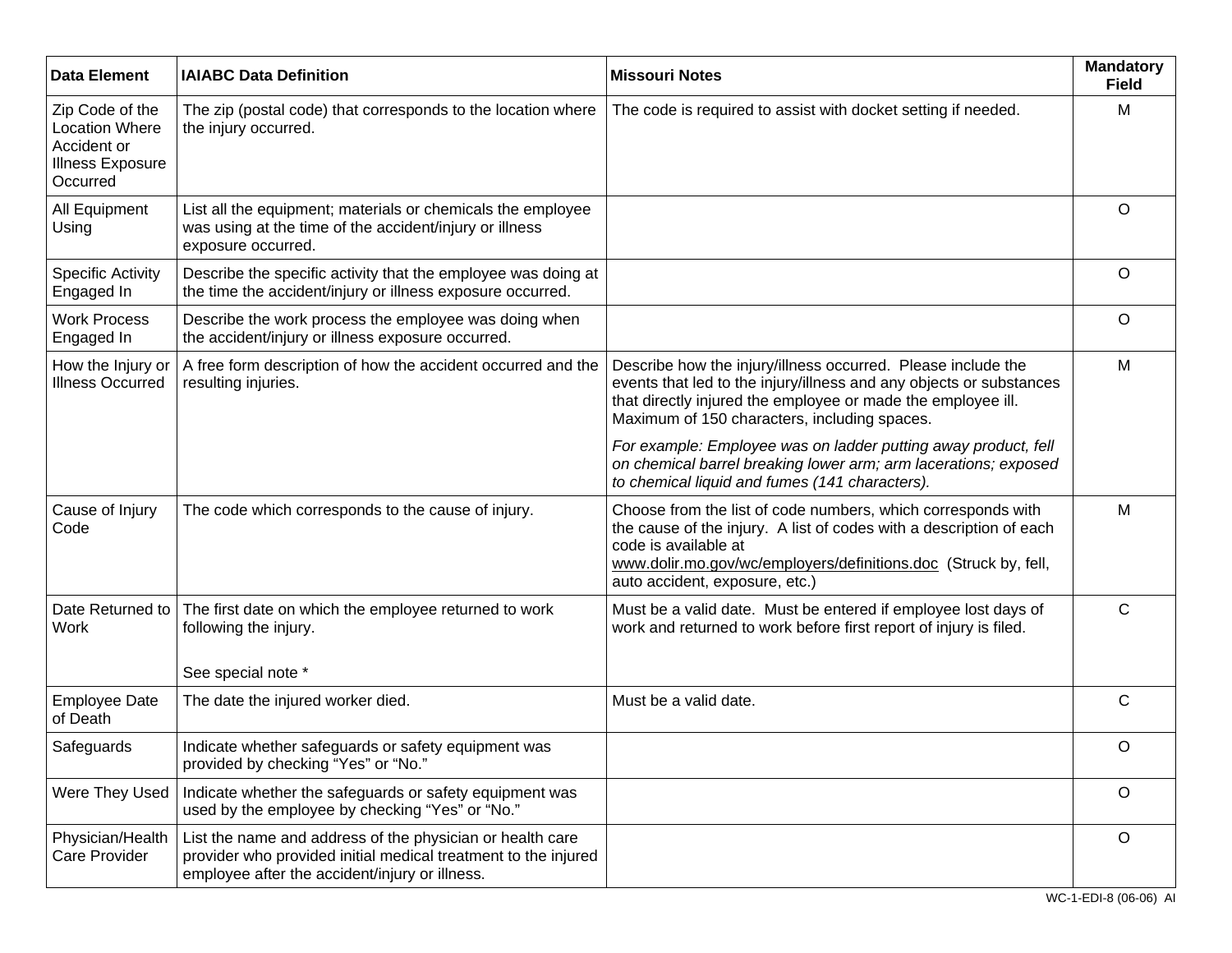| <b>Data Element</b>                                                                            | <b>IAIABC Data Definition</b>                                                                                                                                                 | <b>Missouri Notes</b>                                                                                                                                                                                                                                            | <b>Mandatory</b><br><b>Field</b> |
|------------------------------------------------------------------------------------------------|-------------------------------------------------------------------------------------------------------------------------------------------------------------------------------|------------------------------------------------------------------------------------------------------------------------------------------------------------------------------------------------------------------------------------------------------------------|----------------------------------|
| Zip Code of the<br><b>Location Where</b><br>Accident or<br><b>Illness Exposure</b><br>Occurred | The zip (postal code) that corresponds to the location where<br>the injury occurred.                                                                                          | The code is required to assist with docket setting if needed.                                                                                                                                                                                                    | M                                |
| All Equipment<br>Using                                                                         | List all the equipment; materials or chemicals the employee<br>was using at the time of the accident/injury or illness<br>exposure occurred.                                  |                                                                                                                                                                                                                                                                  | $\circ$                          |
| <b>Specific Activity</b><br>Engaged In                                                         | Describe the specific activity that the employee was doing at<br>the time the accident/injury or illness exposure occurred.                                                   |                                                                                                                                                                                                                                                                  | $\circ$                          |
| <b>Work Process</b><br>Engaged In                                                              | Describe the work process the employee was doing when<br>the accident/injury or illness exposure occurred.                                                                    |                                                                                                                                                                                                                                                                  | O                                |
| How the Injury or<br><b>Illness Occurred</b>                                                   | A free form description of how the accident occurred and the<br>resulting injuries.                                                                                           | Describe how the injury/illness occurred. Please include the<br>events that led to the injury/illness and any objects or substances<br>that directly injured the employee or made the employee ill.<br>Maximum of 150 characters, including spaces.              | M                                |
|                                                                                                |                                                                                                                                                                               | For example: Employee was on ladder putting away product, fell<br>on chemical barrel breaking lower arm; arm lacerations; exposed<br>to chemical liquid and fumes (141 characters).                                                                              |                                  |
| Cause of Injury<br>Code                                                                        | The code which corresponds to the cause of injury.                                                                                                                            | Choose from the list of code numbers, which corresponds with<br>the cause of the injury. A list of codes with a description of each<br>code is available at<br>www.dolir.mo.gov/wc/employers/definitions.doc (Struck by, fell,<br>auto accident, exposure, etc.) | M                                |
| Date Returned to<br><b>Work</b>                                                                | The first date on which the employee returned to work<br>following the injury.                                                                                                | Must be a valid date. Must be entered if employee lost days of<br>work and returned to work before first report of injury is filed.                                                                                                                              | C                                |
| <b>Employee Date</b>                                                                           | See special note *<br>The date the injured worker died.                                                                                                                       | Must be a valid date.                                                                                                                                                                                                                                            | C                                |
| of Death                                                                                       |                                                                                                                                                                               |                                                                                                                                                                                                                                                                  |                                  |
| Safeguards                                                                                     | Indicate whether safeguards or safety equipment was<br>provided by checking "Yes" or "No."                                                                                    |                                                                                                                                                                                                                                                                  | O                                |
| Were They Used                                                                                 | Indicate whether the safeguards or safety equipment was<br>used by the employee by checking "Yes" or "No."                                                                    |                                                                                                                                                                                                                                                                  | $\circ$                          |
| Physician/Health<br>Care Provider                                                              | List the name and address of the physician or health care<br>provider who provided initial medical treatment to the injured<br>employee after the accident/injury or illness. |                                                                                                                                                                                                                                                                  | O                                |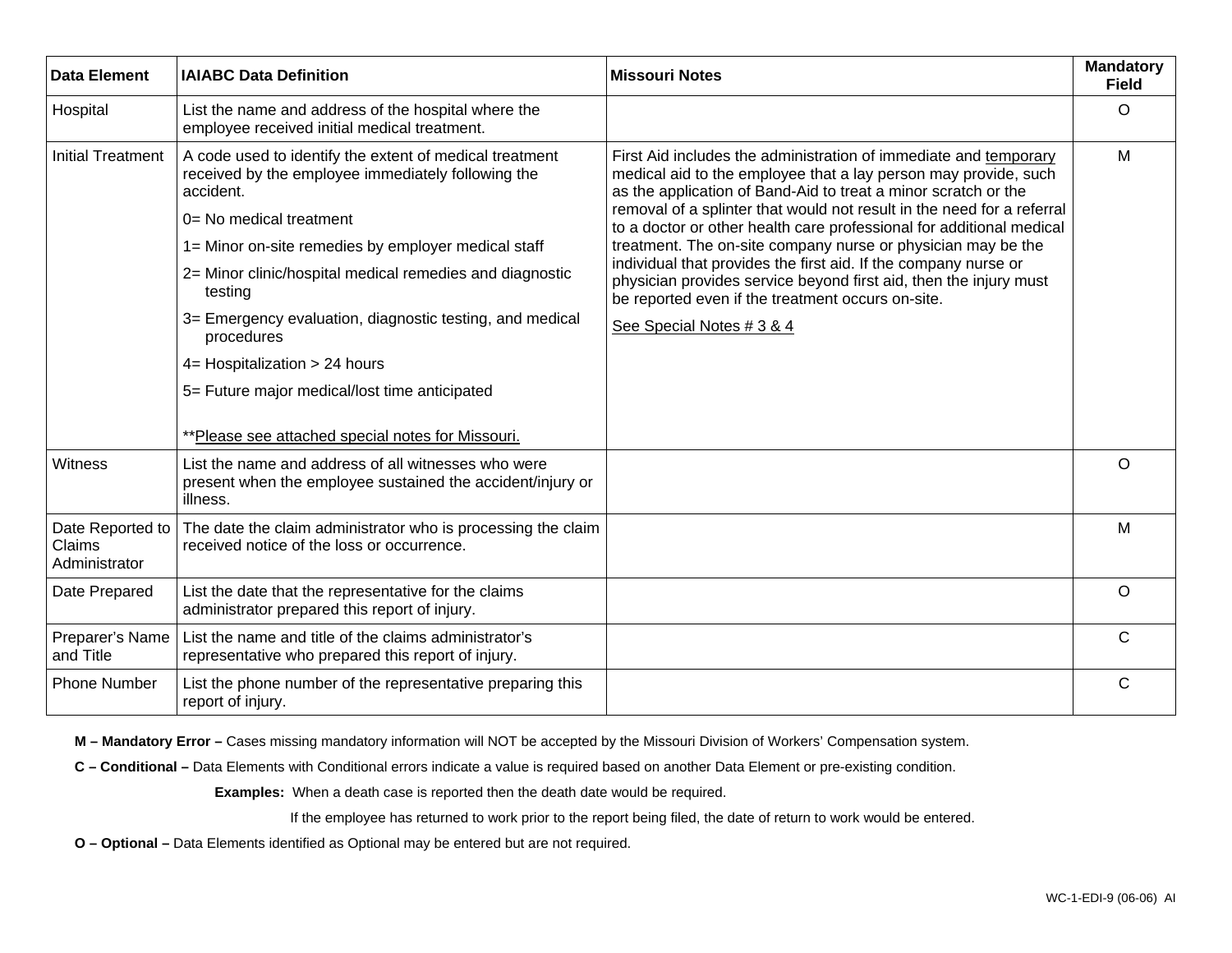| <b>Data Element</b>                         | <b>IAIABC Data Definition</b>                                                                                                                                                                                                                                                                                                                                                                                                                                                                        | <b>Missouri Notes</b>                                                                                                                                                                                                                                                                                                                                                                                                                                                                                                                                                                                                                             | <b>Mandatory</b><br><b>Field</b> |
|---------------------------------------------|------------------------------------------------------------------------------------------------------------------------------------------------------------------------------------------------------------------------------------------------------------------------------------------------------------------------------------------------------------------------------------------------------------------------------------------------------------------------------------------------------|---------------------------------------------------------------------------------------------------------------------------------------------------------------------------------------------------------------------------------------------------------------------------------------------------------------------------------------------------------------------------------------------------------------------------------------------------------------------------------------------------------------------------------------------------------------------------------------------------------------------------------------------------|----------------------------------|
| Hospital                                    | List the name and address of the hospital where the<br>employee received initial medical treatment.                                                                                                                                                                                                                                                                                                                                                                                                  |                                                                                                                                                                                                                                                                                                                                                                                                                                                                                                                                                                                                                                                   | $\circ$                          |
| <b>Initial Treatment</b>                    | A code used to identify the extent of medical treatment<br>received by the employee immediately following the<br>accident.<br>0= No medical treatment<br>1= Minor on-site remedies by employer medical staff<br>2= Minor clinic/hospital medical remedies and diagnostic<br>testing<br>3= Emergency evaluation, diagnostic testing, and medical<br>procedures<br>4= Hospitalization > 24 hours<br>5= Future major medical/lost time anticipated<br>**Please see attached special notes for Missouri. | First Aid includes the administration of immediate and temporary<br>medical aid to the employee that a lay person may provide, such<br>as the application of Band-Aid to treat a minor scratch or the<br>removal of a splinter that would not result in the need for a referral<br>to a doctor or other health care professional for additional medical<br>treatment. The on-site company nurse or physician may be the<br>individual that provides the first aid. If the company nurse or<br>physician provides service beyond first aid, then the injury must<br>be reported even if the treatment occurs on-site.<br>See Special Notes # 3 & 4 | M                                |
| Witness                                     | List the name and address of all witnesses who were<br>present when the employee sustained the accident/injury or                                                                                                                                                                                                                                                                                                                                                                                    |                                                                                                                                                                                                                                                                                                                                                                                                                                                                                                                                                                                                                                                   | $\circ$                          |
|                                             | illness.                                                                                                                                                                                                                                                                                                                                                                                                                                                                                             |                                                                                                                                                                                                                                                                                                                                                                                                                                                                                                                                                                                                                                                   |                                  |
| Date Reported to<br>Claims<br>Administrator | The date the claim administrator who is processing the claim<br>received notice of the loss or occurrence.                                                                                                                                                                                                                                                                                                                                                                                           |                                                                                                                                                                                                                                                                                                                                                                                                                                                                                                                                                                                                                                                   | M                                |
| Date Prepared                               | List the date that the representative for the claims<br>administrator prepared this report of injury.                                                                                                                                                                                                                                                                                                                                                                                                |                                                                                                                                                                                                                                                                                                                                                                                                                                                                                                                                                                                                                                                   | $\circ$                          |
| Preparer's Name<br>and Title                | List the name and title of the claims administrator's<br>representative who prepared this report of injury.                                                                                                                                                                                                                                                                                                                                                                                          |                                                                                                                                                                                                                                                                                                                                                                                                                                                                                                                                                                                                                                                   | $\mathsf{C}$                     |
| <b>Phone Number</b>                         | List the phone number of the representative preparing this<br>report of injury.                                                                                                                                                                                                                                                                                                                                                                                                                      |                                                                                                                                                                                                                                                                                                                                                                                                                                                                                                                                                                                                                                                   | $\mathsf{C}$                     |

**M – Mandatory Error –** Cases missing mandatory information will NOT be accepted by the Missouri Division of Workers' Compensation system.

**C – Conditional –** Data Elements with Conditional errors indicate a value is required based on another Data Element or pre-existing condition.

 **Examples:** When a death case is reported then the death date would be required.

If the employee has returned to work prior to the report being filed, the date of return to work would be entered.

**O – Optional –** Data Elements identified as Optional may be entered but are not required.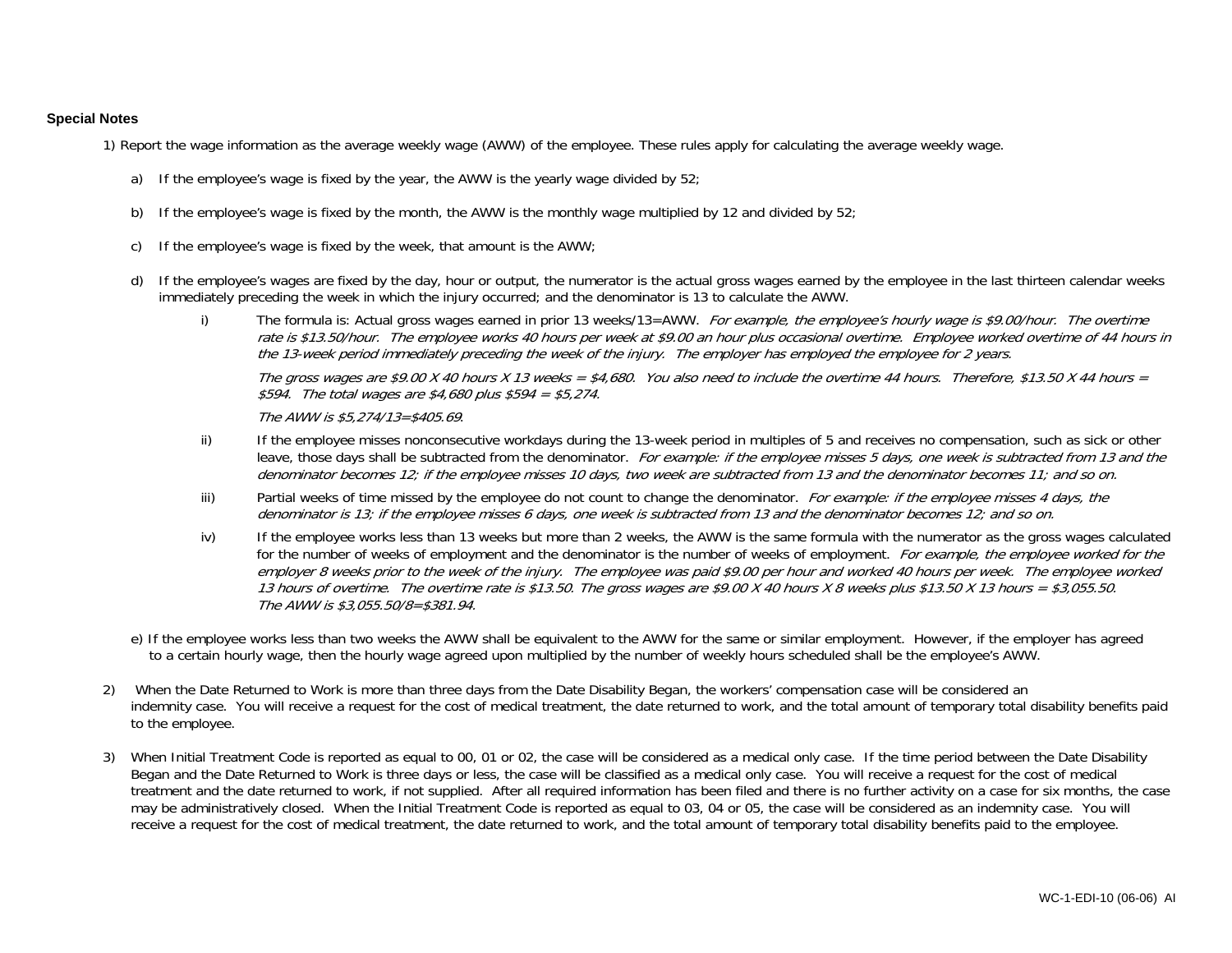## **Special Notes**

1) Report the wage information as the average weekly wage (AWW) of the employee. These rules apply for calculating the average weekly wage.

- a) If the employee's wage is fixed by the year, the AWW is the yearly wage divided by 52;
- b) If the employee's wage is fixed by the month, the AWW is the monthly wage multiplied by 12 and divided by 52;
- c) If the employee's wage is fixed by the week, that amount is the AWW;
- d) If the employee's wages are fixed by the day, hour or output, the numerator is the actual gross wages earned by the employee in the last thirteen calendar weeks immediately preceding the week in which the injury occurred; and the denominator is 13 to calculate the AWW.
	- i) The formula is: Actual gross wages earned in prior 13 weeks/13=AWW. For example, the employee's hourly wage is \$9.00/hour. The overtime rate is \$13.50/hour. The employee works 40 hours per week at \$9.00 an hour plus occasional overtime. Employee worked overtime of 44 hours in the 13-week period immediately preceding the week of the injury. The employer has employed the employee for 2 years. The gross wages are \$9.00 X 40 hours X 13 weeks = \$4,680. You also need to include the overtime 44 hours. Therefore, \$13.50 X 44 hours = \$594. The total wages are \$4,680 plus \$594 = \$5,274.

The AWW is \$5,274/13=\$405.69.

- ii) If the employee misses nonconsecutive workdays during the 13-week period in multiples of 5 and receives no compensation, such as sick or other leave, those days shall be subtracted from the denominator. For example: if the employee misses 5 days, one week is subtracted from 13 and the denominator becomes 12; if the employee misses 10 days, two week are subtracted from 13 and the denominator becomes 11; and so on.
- iii) Partial weeks of time missed by the employee do not count to change the denominator. For example: if the employee misses 4 days, the denominator is 13; if the employee misses 6 days, one week is subtracted from 13 and the denominator becomes 12; and so on.
- iv) If the employee works less than 13 weeks but more than 2 weeks, the AWW is the same formula with the numerator as the gross wages calculated for the number of weeks of employment and the denominator is the number of weeks of employment. For example, the employee worked for the employer 8 weeks prior to the week of the injury. The employee was paid \$9.00 per hour and worked 40 hours per week. The employee worked 13 hours of overtime. The overtime rate is \$13.50. The gross wages are \$9.00 X 40 hours X 8 weeks plus \$13.50 X 13 hours = \$3,055.50. The AWW is \$3,055.50/8=\$381.94.
- e) If the employee works less than two weeks the AWW shall be equivalent to the AWW for the same or similar employment. However, if the employer has agreed to a certain hourly wage, then the hourly wage agreed upon multiplied by the number of weekly hours scheduled shall be the employee's AWW.
- 2) When the Date Returned to Work is more than three days from the Date Disability Began, the workers' compensation case will be considered an indemnity case. You will receive a request for the cost of medical treatment, the date returned to work, and the total amount of temporary total disability benefits paid to the employee.
- 3) When Initial Treatment Code is reported as equal to 00, 01 or 02, the case will be considered as a medical only case. If the time period between the Date Disability Began and the Date Returned to Work is three days or less, the case will be classified as a medical only case. You will receive a request for the cost of medical treatment and the date returned to work, if not supplied. After all required information has been filed and there is no further activity on a case for six months, the case may be administratively closed. When the Initial Treatment Code is reported as equal to 03, 04 or 05, the case will be considered as an indemnity case. You will receive a request for the cost of medical treatment, the date returned to work, and the total amount of temporary total disability benefits paid to the employee.